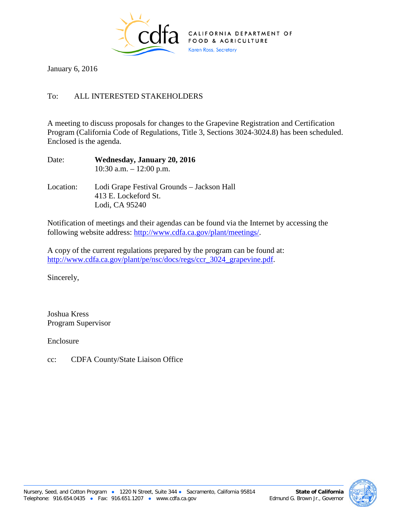

January 6, 2016

## To: ALL INTERESTED STAKEHOLDERS

A meeting to discuss proposals for changes to the Grapevine Registration and Certification Program (California Code of Regulations, Title 3, Sections 3024-3024.8) has been scheduled. Enclosed is the agenda.

| Date:     | Wednesday, January 20, 2016<br>10:30 a.m. $-12:00$ p.m. |
|-----------|---------------------------------------------------------|
| Location: | Lodi Grape Festival Grounds – Jackson H                 |

Location: Lodi Grape Festival Grounds – Jackson Hall 413 E. Lockeford St. Lodi, CA 95240

Notification of meetings and their agendas can be found via the Internet by accessing the following website address: [http://www.cdfa.ca.gov/plant/meetings/.](http://www.cdfa.ca.gov/plant/meetings/)

A copy of the current regulations prepared by the program can be found at: [http://www.cdfa.ca.gov/plant/pe/nsc/docs/regs/ccr\\_3024\\_grapevine.pdf.](http://www.cdfa.ca.gov/plant/pe/nsc/docs/regs/ccr_3024_grapevine.pdf)

Sincerely,

Joshua Kress Program Supervisor

Enclosure

cc: CDFA County/State Liaison Office